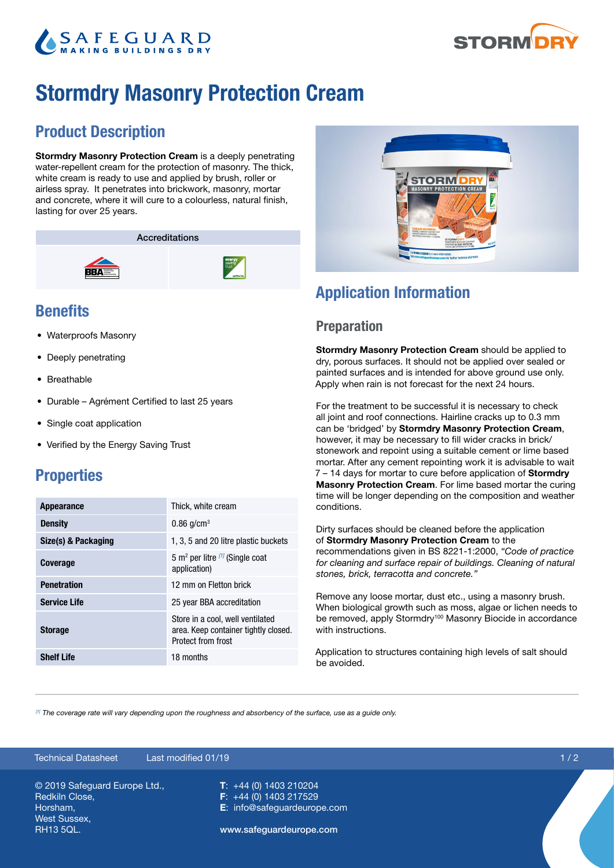# **SAFEGUARD**



## Stormdry Masonry Protection Cream

## Product Description

Stormdry Masonry Protection Cream is a deeply penetrating water-repellent cream for the protection of masonry. The thick, white cream is ready to use and applied by brush, roller or airless spray. It penetrates into brickwork, masonry, mortar and concrete, where it will cure to a colourless, natural finish, lasting for over 25 years.

Accreditations



## **Benefits**

- Waterproofs Masonry
- Deeply penetrating
- Breathable
- Durable Agrément Certified to last 25 years
- Single coat application
- Verified by the Energy Saving Trust

## **Properties**

| <b>Appearance</b>   | Thick, white cream                                                                             |
|---------------------|------------------------------------------------------------------------------------------------|
| <b>Density</b>      | $0.86$ g/cm <sup>3</sup>                                                                       |
| Size(s) & Packaging | 1, 3, 5 and 20 litre plastic buckets                                                           |
| <b>Coverage</b>     | 5 m <sup>2</sup> per litre [1] (Single coat<br>application)                                    |
| <b>Penetration</b>  | 12 mm on Fletton brick                                                                         |
| <b>Service Life</b> | 25 year BBA accreditation                                                                      |
| <b>Storage</b>      | Store in a cool, well ventilated<br>area. Keep container tightly closed.<br>Protect from frost |
| <b>Shelf Life</b>   | 18 months                                                                                      |



## Application Information

#### Preparation

Stormdry Masonry Protection Cream should be applied to dry, porous surfaces. It should not be applied over sealed or painted surfaces and is intended for above ground use only. Apply when rain is not forecast for the next 24 hours.

For the treatment to be successful it is necessary to check all joint and roof connections. Hairline cracks up to 0.3 mm can be 'bridged' by Stormdry Masonry Protection Cream, however, it may be necessary to fill wider cracks in brick/ stonework and repoint using a suitable cement or lime based mortar. After any cement repointing work it is advisable to wait 7 – 14 days for mortar to cure before application of **Stormdry** Masonry Protection Cream. For lime based mortar the curing time will be longer depending on the composition and weather conditions.

Dirty surfaces should be cleaned before the application of Stormdry Masonry Protection Cream to the recommendations given in BS 8221-1:2000, *"Code of practice for cleaning and surface repair of buildings. Cleaning of natural stones, brick, terracotta and concrete."*

Remove any loose mortar, dust etc., using a masonry brush. When biological growth such as moss, algae or lichen needs to be removed, apply Stormdry<sup>100</sup> Masonry Biocide in accordance with instructions.

Application to structures containing high levels of salt should be avoided.

*[1] The coverage rate will vary depending upon the roughness and absorbency of the surface, use as a guide only.*

#### © 2019 Safeguard Europe Ltd., Redkiln Close, Horsham, West Sussex, RH13 5QL. T: +44 (0) 1403 210204 F: +44 (0) 1403 217529 E: info@safeguardeurope.com www.safeguardeurope.com Technical Datasheet Last modified 01/19 1 / 2